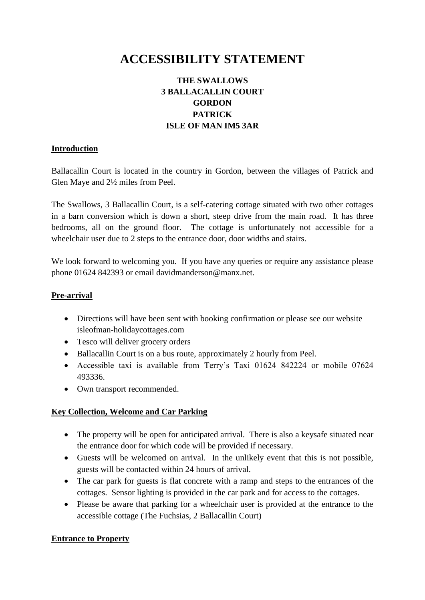# **ACCESSIBILITY STATEMENT**

# **THE SWALLOWS 3 BALLACALLIN COURT GORDON PATRICK ISLE OF MAN IM5 3AR**

#### **Introduction**

Ballacallin Court is located in the country in Gordon, between the villages of Patrick and Glen Maye and 2½ miles from Peel.

The Swallows, 3 Ballacallin Court, is a self-catering cottage situated with two other cottages in a barn conversion which is down a short, steep drive from the main road. It has three bedrooms, all on the ground floor. The cottage is unfortunately not accessible for a wheelchair user due to 2 steps to the entrance door, door widths and stairs.

We look forward to welcoming you. If you have any queries or require any assistance please phone 01624 842393 or email davidmanderson@manx.net.

#### **Pre-arrival**

- Directions will have been sent with booking confirmation or please see our website isleofman-holidaycottages.com
- Tesco will deliver grocery orders
- Ballacallin Court is on a bus route, approximately 2 hourly from Peel.
- Accessible taxi is available from Terry's Taxi 01624 842224 or mobile 07624 493336.
- Own transport recommended.

#### **Key Collection, Welcome and Car Parking**

- The property will be open for anticipated arrival. There is also a keysafe situated near the entrance door for which code will be provided if necessary.
- Guests will be welcomed on arrival. In the unlikely event that this is not possible, guests will be contacted within 24 hours of arrival.
- The car park for guests is flat concrete with a ramp and steps to the entrances of the cottages. Sensor lighting is provided in the car park and for access to the cottages.
- Please be aware that parking for a wheelchair user is provided at the entrance to the accessible cottage (The Fuchsias, 2 Ballacallin Court)

#### **Entrance to Property**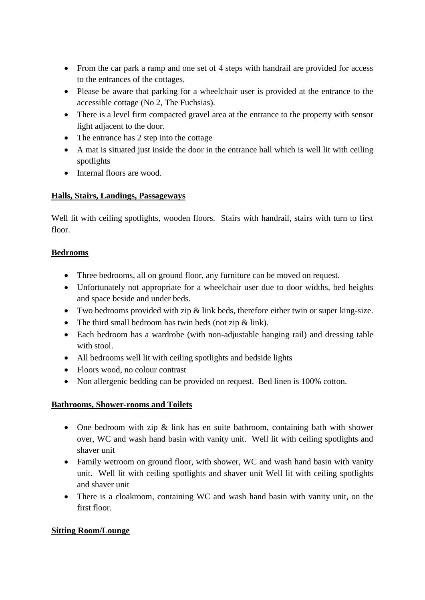- From the car park a ramp and one set of 4 steps with handrail are provided for access to the entrances of the cottages.
- Please be aware that parking for a wheelchair user is provided at the entrance to the accessible cottage (No 2, The Fuchsias).
- There is a level firm compacted gravel area at the entrance to the property with sensor light adjacent to the door.
- The entrance has 2 step into the cottage
- A mat is situated just inside the door in the entrance hall which is well lit with ceiling spotlights
- Internal floors are wood.

### **Halls, Stairs, Landings, Passageways**

Well lit with ceiling spotlights, wooden floors. Stairs with handrail, stairs with turn to first floor.

### **Bedrooms**

- Three bedrooms, all on ground floor, any furniture can be moved on request.
- Unfortunately not appropriate for a wheelchair user due to door widths, bed heights and space beside and under beds.
- Two bedrooms provided with zip & link beds, therefore either twin or super king-size.
- The third small bedroom has twin beds (not zip  $&$  link).
- Each bedroom has a wardrobe (with non-adjustable hanging rail) and dressing table with stool.
- All bedrooms well lit with ceiling spotlights and bedside lights
- Floors wood, no colour contrast
- Non allergenic bedding can be provided on request. Bed linen is 100% cotton.

#### **Bathrooms, Shower-rooms and Toilets**

- One bedroom with zip & link has en suite bathroom, containing bath with shower over, WC and wash hand basin with vanity unit. Well lit with ceiling spotlights and shaver unit
- Family wetroom on ground floor, with shower, WC and wash hand basin with vanity unit. Well lit with ceiling spotlights and shaver unit Well lit with ceiling spotlights and shaver unit
- There is a cloakroom, containing WC and wash hand basin with vanity unit, on the first floor.

# **Sitting Room/Lounge**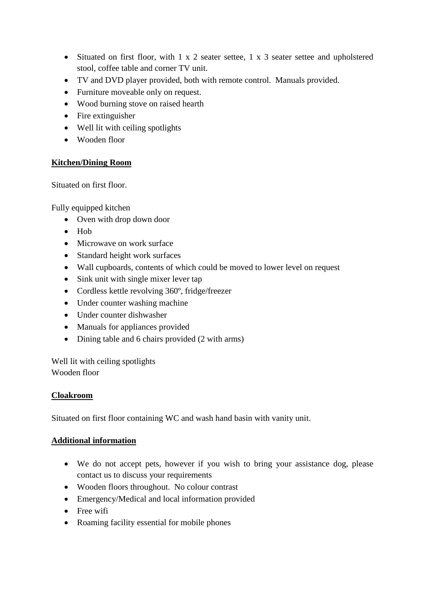- Situated on first floor, with 1 x 2 seater settee, 1 x 3 seater settee and upholstered stool, coffee table and corner TV unit.
- TV and DVD player provided, both with remote control. Manuals provided.
- Furniture moveable only on request.
- Wood burning stove on raised hearth
- Fire extinguisher
- Well lit with ceiling spotlights
- Wooden floor

#### **Kitchen/Dining Room**

Situated on first floor.

Fully equipped kitchen

- Oven with drop down door
- $\bullet$  Hob
- Microwave on work surface
- Standard height work surfaces
- Wall cupboards, contents of which could be moved to lower level on request
- Sink unit with single mixer lever tap
- Cordless kettle revolving 360°, fridge/freezer
- Under counter washing machine
- Under counter dishwasher
- Manuals for appliances provided
- Dining table and 6 chairs provided (2 with arms)

Well lit with ceiling spotlights Wooden floor

#### **Cloakroom**

Situated on first floor containing WC and wash hand basin with vanity unit.

#### **Additional information**

- We do not accept pets, however if you wish to bring your assistance dog, please contact us to discuss your requirements
- Wooden floors throughout. No colour contrast
- Emergency/Medical and local information provided
- Free wifi
- Roaming facility essential for mobile phones